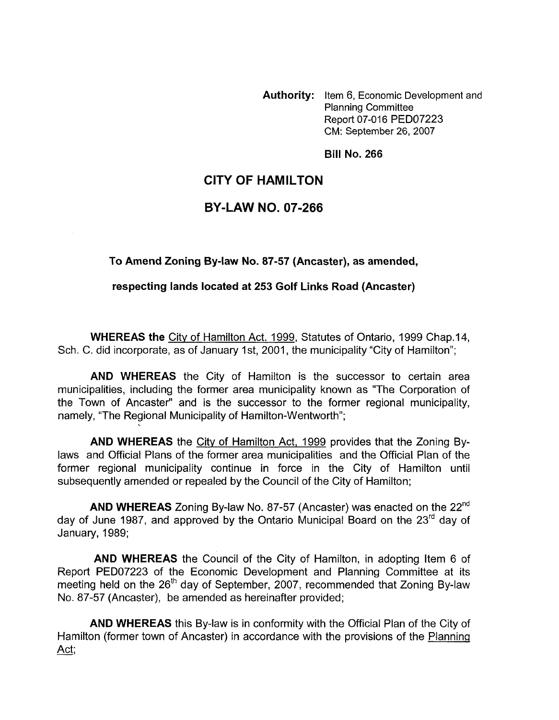**Authority:** Item 6, Economic Development and Planning Committee Report 07-016 PED07223 CM: September 26,2007

**Bill No. 266** 

## **CITY OF HAMILTON**

## **BY-LAW NO. 07-266**

**To Amend Zoning By-law No. 87-57 (Ancaster), as amended,** 

**respecting lands located at 253 Golf Links Road (Ancaster)** 

**WHEREAS the** City of Hamilton Act. 1999, Statutes of Ontario, 1999 Chap.14, Sch. C. did incorporate, as of January 1st, 2001, the municipality "City of Hamilton";

**AND WHEREAS** the City of Hamilton is the successor to certain area municipalities, including the former area municipality known as "The Corporation of the Town of Ancaster" and is the successor to the former regional municipality, namely, "The Regional Municipality of Hamilton-Wentworth";

**AND WHEREAS** the City of Hamilton Act, 1999 provides that the Zoning Bylaws and Official Plans of the former area municipalities and the Official Plan of the former regional municipality continue in force in the City of Hamilton until subsequently amended or repealed by the Council of the City of Hamilton;

**AND WHEREAS** Zoning By-law No. 87-57 (Ancaster) was enacted on the 22"d day of June 1987, and approved by the Ontario Municipal Board on the  $23<sup>rd</sup>$  day of January, 1989;

**AND WHEREAS** the Council of the City of Hamilton, in adopting Item 6 of Report PED07223 of the Economic Development and Planning Committee at its meeting held on the 26<sup>th</sup> day of September, 2007, recommended that Zoning By-law No. 87-57 (Ancaster), be amended as hereinafter provided;

**AND WHEREAS** this By-law is in conformity with the Official Plan of the City of Hamilton (former town of Ancaster) in accordance with the provisions of the Planning Act;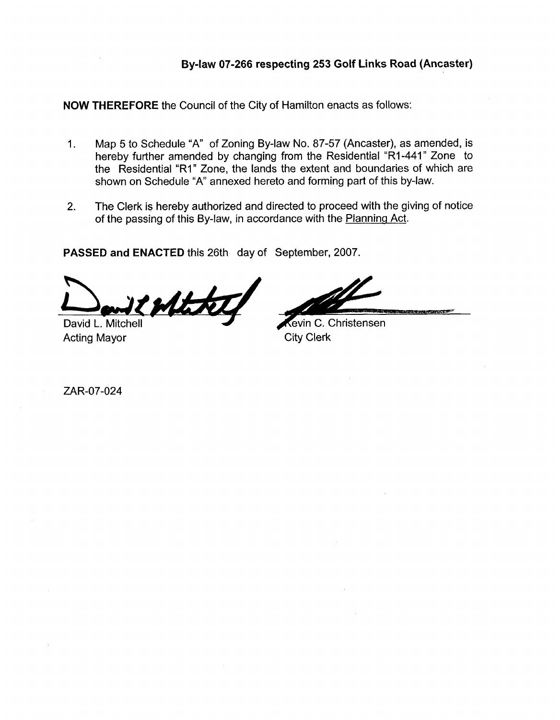**NOW THEREFORE** the Council of the City of Hamilton enacts as follows:

- 1. Map 5 to Schedule "A" of Zoning By-law No. 87-57 (Ancaster), as amended, is hereby further amended by changing from the Residential "R1-441" Zone to the Residential "RI" Zone, the lands the extent and boundaries of which are shown on Schedule "A' annexed hereto and forming part of this by-law. By-law 07-266 respecting 253 Golf Links Road (Ancaster)<br>
NOW THEREFORE the Council of the City of Hamilton enacts as follows:<br>
1. Map 5 to Schedule 2<sup>4</sup>: 07 Zaning By-law No. 97-57 (Ancaster) as amonded is<br>
the Tesidlentia
	- 2. The Clerk is hereby authorized and directed to proceed with the giving of notice of the passing of this By-law, in accordance with the Planning Act.

**PASSED and ENACTED** this 26th day of September, 2007.

David L. Mitchell Acting Mayor City Clerk

ZAR-07-024